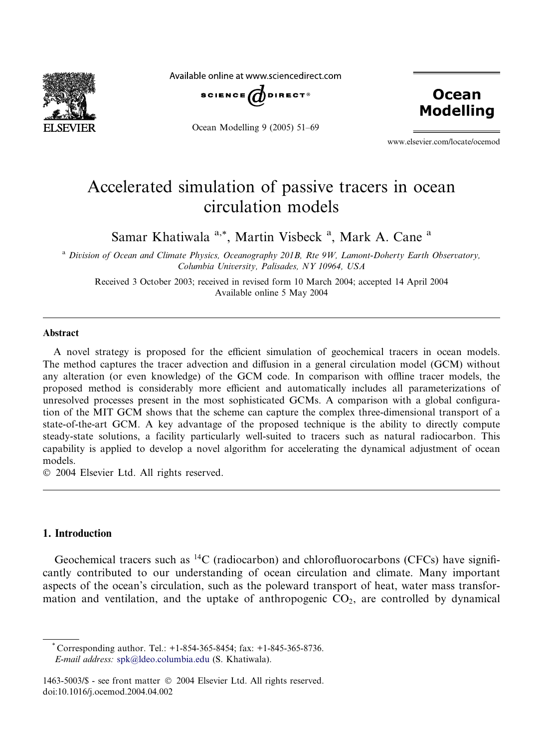

Available online at www.sciencedirect.com



Ocean Modelling 9 (2005) 51–69

**Ocean Modelling** 

www.elsevier.com/locate/ocemod

# Accelerated simulation of passive tracers in ocean circulation models

Samar Khatiwala <sup>a,\*</sup>, Martin Visbeck<sup>a</sup>, Mark A. Cane<sup>a</sup>

<sup>a</sup> Division of Ocean and Climate Physics, Oceanography 201B, Rte 9W, Lamont-Doherty Earth Observatory, Columbia University, Palisades, NY 10964, USA

Received 3 October 2003; received in revised form 10 March 2004; accepted 14 April 2004 Available online 5 May 2004

#### Abstract

A novel strategy is proposed for the efficient simulation of geochemical tracers in ocean models. The method captures the tracer advection and diffusion in a general circulation model (GCM) without any alteration (or even knowledge) of the GCM code. In comparison with offline tracer models, the proposed method is considerably more efficient and automatically includes all parameterizations of unresolved processes present in the most sophisticated GCMs. A comparison with a global configuration of the MIT GCM shows that the scheme can capture the complex three-dimensional transport of a state-of-the-art GCM. A key advantage of the proposed technique is the ability to directly compute steady-state solutions, a facility particularly well-suited to tracers such as natural radiocarbon. This capability is applied to develop a novel algorithm for accelerating the dynamical adjustment of ocean models.

2004 Elsevier Ltd. All rights reserved.

## 1. Introduction

Geochemical tracers such as  ${}^{14}C$  (radiocarbon) and chlorofluorocarbons (CFCs) have significantly contributed to our understanding of ocean circulation and climate. Many important aspects of the ocean's circulation, such as the poleward transport of heat, water mass transformation and ventilation, and the uptake of anthropogenic  $CO<sub>2</sub>$ , are controlled by dynamical

 $*$  Corresponding author. Tel.:  $+1-854-365-8454$ ; fax:  $+1-845-365-8736$ . E-mail address: [spk@ldeo.columbia.edu](mail to: spk@ldeo.columbia.edu) (S. Khatiwala).

<sup>1463-5003/\$ -</sup> see front matter  $\degree$  2004 Elsevier Ltd. All rights reserved. doi:10.1016/j.ocemod.2004.04.002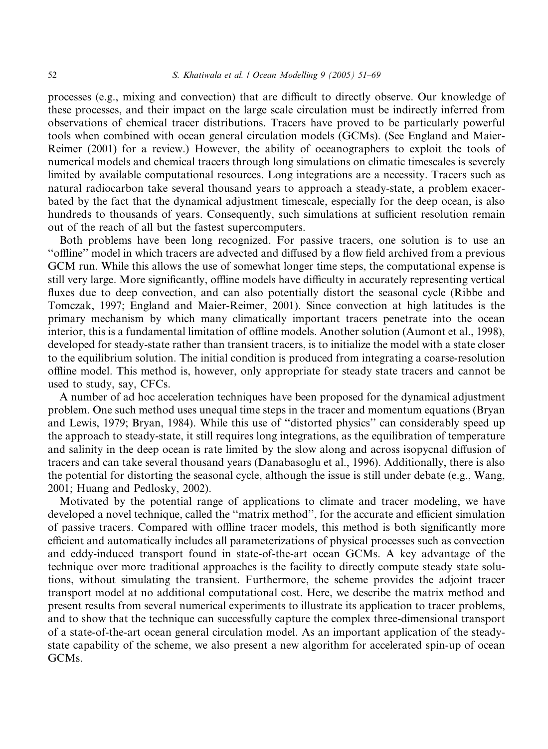processes (e.g., mixing and convection) that are difficult to directly observe. Our knowledge of these processes, and their impact on the large scale circulation must be indirectly inferred from observations of chemical tracer distributions. Tracers have proved to be particularly powerful tools when combined with ocean general circulation models (GCMs). (See England and Maier-Reimer (2001) for a review.) However, the ability of oceanographers to exploit the tools of numerical models and chemical tracers through long simulations on climatic timescales is severely limited by available computational resources. Long integrations are a necessity. Tracers such as natural radiocarbon take several thousand years to approach a steady-state, a problem exacerbated by the fact that the dynamical adjustment timescale, especially for the deep ocean, is also hundreds to thousands of years. Consequently, such simulations at sufficient resolution remain out of the reach of all but the fastest supercomputers.

Both problems have been long recognized. For passive tracers, one solution is to use an ''offline'' model in which tracers are advected and diffused by a flow field archived from a previous GCM run. While this allows the use of somewhat longer time steps, the computational expense is still very large. More significantly, offline models have difficulty in accurately representing vertical fluxes due to deep convection, and can also potentially distort the seasonal cycle (Ribbe and Tomczak, 1997; England and Maier-Reimer, 2001). Since convection at high latitudes is the primary mechanism by which many climatically important tracers penetrate into the ocean interior, this is a fundamental limitation of offline models. Another solution (Aumont et al., 1998), developed for steady-state rather than transient tracers, is to initialize the model with a state closer to the equilibrium solution. The initial condition is produced from integrating a coarse-resolution offline model. This method is, however, only appropriate for steady state tracers and cannot be used to study, say, CFCs.

A number of ad hoc acceleration techniques have been proposed for the dynamical adjustment problem. One such method uses unequal time steps in the tracer and momentum equations (Bryan and Lewis, 1979; Bryan, 1984). While this use of ''distorted physics'' can considerably speed up the approach to steady-state, it still requires long integrations, as the equilibration of temperature and salinity in the deep ocean is rate limited by the slow along and across isopycnal diffusion of tracers and can take several thousand years (Danabasoglu et al., 1996). Additionally, there is also the potential for distorting the seasonal cycle, although the issue is still under debate (e.g., Wang, 2001; Huang and Pedlosky, 2002).

Motivated by the potential range of applications to climate and tracer modeling, we have developed a novel technique, called the ''matrix method'', for the accurate and efficient simulation of passive tracers. Compared with offline tracer models, this method is both significantly more efficient and automatically includes all parameterizations of physical processes such as convection and eddy-induced transport found in state-of-the-art ocean GCMs. A key advantage of the technique over more traditional approaches is the facility to directly compute steady state solutions, without simulating the transient. Furthermore, the scheme provides the adjoint tracer transport model at no additional computational cost. Here, we describe the matrix method and present results from several numerical experiments to illustrate its application to tracer problems, and to show that the technique can successfully capture the complex three-dimensional transport of a state-of-the-art ocean general circulation model. As an important application of the steadystate capability of the scheme, we also present a new algorithm for accelerated spin-up of ocean GCMs.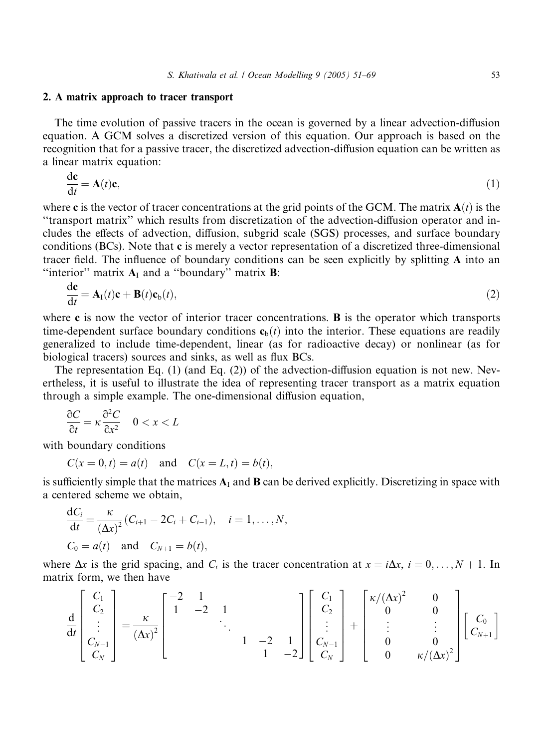#### 2. A matrix approach to tracer transport

The time evolution of passive tracers in the ocean is governed by a linear advection-diffusion equation. A GCM solves a discretized version of this equation. Our approach is based on the recognition that for a passive tracer, the discretized advection-diffusion equation can be written as a linear matrix equation:

$$
\frac{\mathrm{d}\mathbf{c}}{\mathrm{d}t} = \mathbf{A}(t)\mathbf{c},\tag{1}
$$

where c is the vector of tracer concentrations at the grid points of the GCM. The matrix  $A(t)$  is the ''transport matrix'' which results from discretization of the advection-diffusion operator and includes the effects of advection, diffusion, subgrid scale (SGS) processes, and surface boundary conditions (BCs). Note that c is merely a vector representation of a discretized three-dimensional tracer field. The influence of boundary conditions can be seen explicitly by splitting A into an "interior" matrix  $A_I$  and a "boundary" matrix  $B$ :

$$
\frac{\mathrm{d}\mathbf{c}}{\mathrm{d}t} = \mathbf{A}_{\mathrm{I}}(t)\mathbf{c} + \mathbf{B}(t)\mathbf{c}_{\mathrm{b}}(t),\tag{2}
$$

where  $\bf{c}$  is now the vector of interior tracer concentrations.  $\bf{B}$  is the operator which transports time-dependent surface boundary conditions  $c<sub>b</sub>(t)$  into the interior. These equations are readily generalized to include time-dependent, linear (as for radioactive decay) or nonlinear (as for biological tracers) sources and sinks, as well as flux BCs.

The representation Eq. (1) (and Eq. (2)) of the advection-diffusion equation is not new. Nevertheless, it is useful to illustrate the idea of representing tracer transport as a matrix equation through a simple example. The one-dimensional diffusion equation,

$$
\frac{\partial C}{\partial t} = \kappa \frac{\partial^2 C}{\partial x^2} \quad 0 < x < L
$$

with boundary conditions

$$
C(x = 0, t) = a(t) \quad \text{and} \quad C(x = L, t) = b(t),
$$

is sufficiently simple that the matrices  $A_I$  and **B** can be derived explicitly. Discretizing in space with a centered scheme we obtain,

$$
\frac{dC_i}{dt} = \frac{\kappa}{(\Delta x)^2} (C_{i+1} - 2C_i + C_{i-1}), \quad i = 1, ..., N,
$$
  
\n
$$
C_0 = a(t) \text{ and } C_{N+1} = b(t),
$$

where  $\Delta x$  is the grid spacing, and  $C_i$  is the tracer concentration at  $x = i\Delta x$ ,  $i = 0, \ldots, N + 1$ . In matrix form, we then have

$$
\frac{d}{dt} \begin{bmatrix} C_1 \\ C_2 \\ \vdots \\ C_{N-1} \\ C_N \end{bmatrix} = \frac{\kappa}{(\Delta x)^2} \begin{bmatrix} -2 & 1 & & & \\ 1 & -2 & 1 & & \\ & & \ddots & & \\ & & & 1 & -2 & 1 \\ & & & & 1 & -2 \end{bmatrix} \begin{bmatrix} C_1 \\ C_2 \\ \vdots \\ C_{N-1} \\ C_N \end{bmatrix} + \begin{bmatrix} \kappa/(\Delta x)^2 & 0 & & \\ 0 & 0 & & \\ & \vdots & & \vdots & \\ 0 & 0 & & \\ 0 & \kappa/(\Delta x)^2 \end{bmatrix} \begin{bmatrix} C_0 \\ C_{N+1} \end{bmatrix}
$$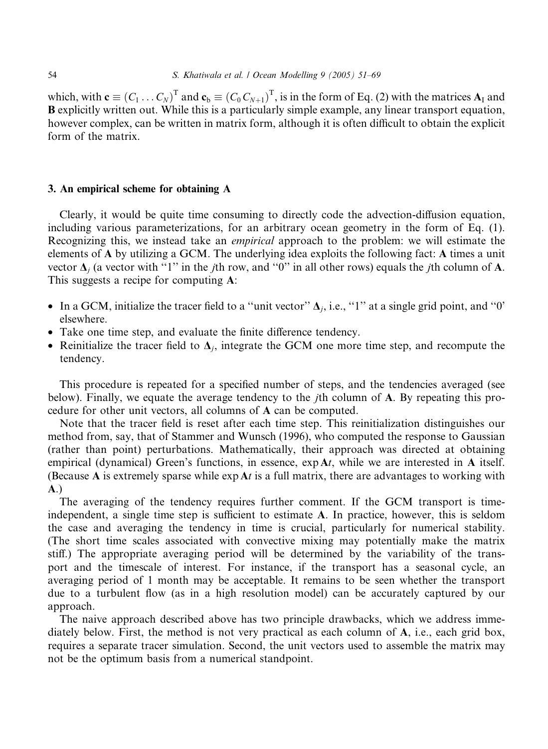which, with  $\mathbf{c} \equiv (C_1 \dots C_N)^T$  and  $\mathbf{c}_b \equiv (C_0 C_{N+1})^T$ , is in the form of Eq. (2) with the matrices  $\mathbf{A}_I$  and B explicitly written out. While this is a particularly simple example, any linear transport equation, however complex, can be written in matrix form, although it is often difficult to obtain the explicit form of the matrix.

#### 3. An empirical scheme for obtaining A

Clearly, it would be quite time consuming to directly code the advection-diffusion equation, including various parameterizations, for an arbitrary ocean geometry in the form of Eq. (1). Recognizing this, we instead take an *empirical* approach to the problem: we will estimate the elements of A by utilizing a GCM. The underlying idea exploits the following fact: A times a unit vector  $\Delta_i$  (a vector with "1" in the *j*th row, and "0" in all other rows) equals the *j*th column of A. This suggests a recipe for computing A:

- In a GCM, initialize the tracer field to a "unit vector"  $\Delta_i$ , i.e., "1" at a single grid point, and "0" elsewhere.
- Take one time step, and evaluate the finite difference tendency.
- Reinitialize the tracer field to  $\Delta_i$ , integrate the GCM one more time step, and recompute the tendency.

This procedure is repeated for a specified number of steps, and the tendencies averaged (see below). Finally, we equate the average tendency to the jth column of A. By repeating this procedure for other unit vectors, all columns of A can be computed.

Note that the tracer field is reset after each time step. This reinitialization distinguishes our method from, say, that of Stammer and Wunsch (1996), who computed the response to Gaussian (rather than point) perturbations. Mathematically, their approach was directed at obtaining empirical (dynamical) Green's functions, in essence,  $exp A t$ , while we are interested in A itself. (Because A is extremely sparse while  $\exp A t$  is a full matrix, there are advantages to working with A.)

The averaging of the tendency requires further comment. If the GCM transport is timeindependent, a single time step is sufficient to estimate A. In practice, however, this is seldom the case and averaging the tendency in time is crucial, particularly for numerical stability. (The short time scales associated with convective mixing may potentially make the matrix stiff.) The appropriate averaging period will be determined by the variability of the transport and the timescale of interest. For instance, if the transport has a seasonal cycle, an averaging period of 1 month may be acceptable. It remains to be seen whether the transport due to a turbulent flow (as in a high resolution model) can be accurately captured by our approach.

The naive approach described above has two principle drawbacks, which we address immediately below. First, the method is not very practical as each column of A, i.e., each grid box, requires a separate tracer simulation. Second, the unit vectors used to assemble the matrix may not be the optimum basis from a numerical standpoint.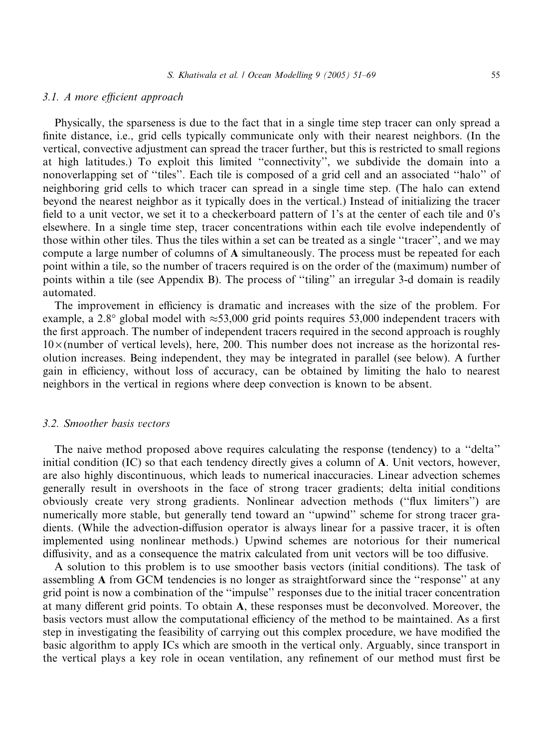#### 3.1. A more efficient approach

Physically, the sparseness is due to the fact that in a single time step tracer can only spread a finite distance, i.e., grid cells typically communicate only with their nearest neighbors. (In the vertical, convective adjustment can spread the tracer further, but this is restricted to small regions at high latitudes.) To exploit this limited ''connectivity'', we subdivide the domain into a nonoverlapping set of ''tiles''. Each tile is composed of a grid cell and an associated ''halo'' of neighboring grid cells to which tracer can spread in a single time step. (The halo can extend beyond the nearest neighbor as it typically does in the vertical.) Instead of initializing the tracer field to a unit vector, we set it to a checkerboard pattern of 1's at the center of each tile and 0's elsewhere. In a single time step, tracer concentrations within each tile evolve independently of those within other tiles. Thus the tiles within a set can be treated as a single ''tracer'', and we may compute a large number of columns of A simultaneously. The process must be repeated for each point within a tile, so the number of tracers required is on the order of the (maximum) number of points within a tile (see Appendix B). The process of ''tiling'' an irregular 3-d domain is readily automated.

The improvement in efficiency is dramatic and increases with the size of the problem. For example, a 2.8° global model with  $\approx$ 53,000 grid points requires 53,000 independent tracers with the first approach. The number of independent tracers required in the second approach is roughly  $10 \times$ (number of vertical levels), here, 200. This number does not increase as the horizontal resolution increases. Being independent, they may be integrated in parallel (see below). A further gain in efficiency, without loss of accuracy, can be obtained by limiting the halo to nearest neighbors in the vertical in regions where deep convection is known to be absent.

## 3.2. Smoother basis vectors

The naive method proposed above requires calculating the response (tendency) to a ''delta'' initial condition (IC) so that each tendency directly gives a column of A. Unit vectors, however, are also highly discontinuous, which leads to numerical inaccuracies. Linear advection schemes generally result in overshoots in the face of strong tracer gradients; delta initial conditions obviously create very strong gradients. Nonlinear advection methods (''flux limiters'') are numerically more stable, but generally tend toward an ''upwind'' scheme for strong tracer gradients. (While the advection-diffusion operator is always linear for a passive tracer, it is often implemented using nonlinear methods.) Upwind schemes are notorious for their numerical diffusivity, and as a consequence the matrix calculated from unit vectors will be too diffusive.

A solution to this problem is to use smoother basis vectors (initial conditions). The task of assembling A from GCM tendencies is no longer as straightforward since the ''response'' at any grid point is now a combination of the ''impulse'' responses due to the initial tracer concentration at many different grid points. To obtain A, these responses must be deconvolved. Moreover, the basis vectors must allow the computational efficiency of the method to be maintained. As a first step in investigating the feasibility of carrying out this complex procedure, we have modified the basic algorithm to apply ICs which are smooth in the vertical only. Arguably, since transport in the vertical plays a key role in ocean ventilation, any refinement of our method must first be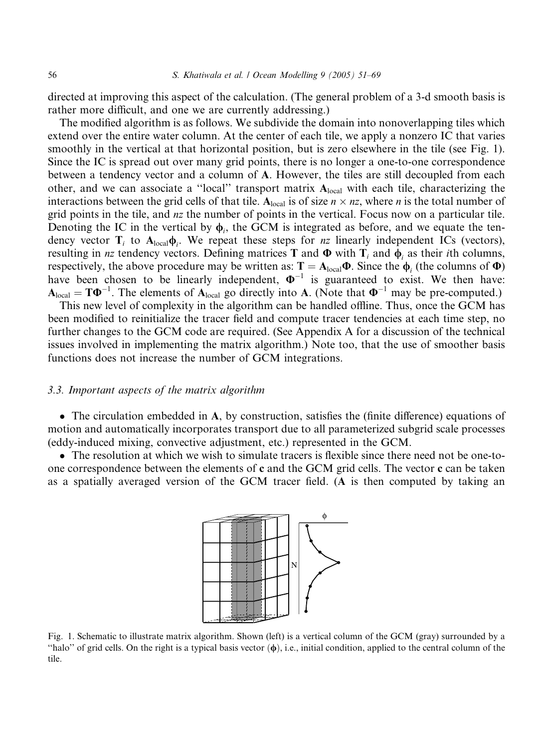directed at improving this aspect of the calculation. (The general problem of a 3-d smooth basis is rather more difficult, and one we are currently addressing.)

The modified algorithm is as follows. We subdivide the domain into nonoverlapping tiles which extend over the entire water column. At the center of each tile, we apply a nonzero IC that varies smoothly in the vertical at that horizontal position, but is zero elsewhere in the tile (see Fig. 1). Since the IC is spread out over many grid points, there is no longer a one-to-one correspondence between a tendency vector and a column of A. However, the tiles are still decoupled from each other, and we can associate a "local" transport matrix  $A<sub>local</sub>$  with each tile, characterizing the interactions between the grid cells of that tile. A<sub>local</sub> is of size  $n \times nz$ , where n is the total number of grid points in the tile, and  $nz$  the number of points in the vertical. Focus now on a particular tile. Denoting the IC in the vertical by  $\phi_i$ , the GCM is integrated as before, and we equate the tendency vector  $\mathbf{T}_i$  to  $\mathbf{A}_{local} \boldsymbol{\phi}_i$ . We repeat these steps for *nz* linearly independent ICs (vectors), resulting in *nz* tendency vectors. Defining matrices T and  $\Phi$  with  $\mathbf{T}_i$  and  $\mathbf{\phi}_i$  as their *i*th columns, respectively, the above procedure may be written as:  $T = A_{local} \Phi$ . Since the  $\phi_i$  (the columns of  $\Phi$ ) have been chosen to be linearly independent,  $\Phi^{-1}$  is guaranteed to exist. We then have:  $A_{\text{local}} = T\Phi^{-1}$ . The elements of  $A_{\text{local}}$  go directly into A. (Note that  $\Phi^{-1}$  may be pre-computed.)

This new level of complexity in the algorithm can be handled offline. Thus, once the GCM has been modified to reinitialize the tracer field and compute tracer tendencies at each time step, no further changes to the GCM code are required. (See Appendix A for a discussion of the technical issues involved in implementing the matrix algorithm.) Note too, that the use of smoother basis functions does not increase the number of GCM integrations.

## 3.3. Important aspects of the matrix algorithm

• The circulation embedded in A, by construction, satisfies the (finite difference) equations of motion and automatically incorporates transport due to all parameterized subgrid scale processes (eddy-induced mixing, convective adjustment, etc.) represented in the GCM.

• The resolution at which we wish to simulate tracers is flexible since there need not be one-toone correspondence between the elements of  $c$  and the GCM grid cells. The vector  $c$  can be taken as a spatially averaged version of the GCM tracer field. (A is then computed by taking an



Fig. 1. Schematic to illustrate matrix algorithm. Shown (left) is a vertical column of the GCM (gray) surrounded by a "halo" of grid cells. On the right is a typical basis vector  $(\phi)$ , i.e., initial condition, applied to the central column of the tile.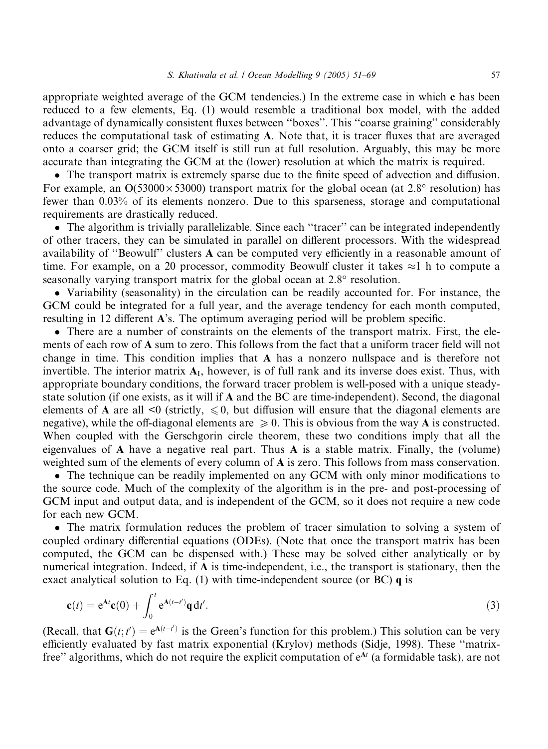appropriate weighted average of the GCM tendencies.) In the extreme case in which c has been reduced to a few elements, Eq. (1) would resemble a traditional box model, with the added advantage of dynamically consistent fluxes between ''boxes''. This ''coarse graining'' considerably reduces the computational task of estimating A. Note that, it is tracer fluxes that are averaged onto a coarser grid; the GCM itself is still run at full resolution. Arguably, this may be more accurate than integrating the GCM at the (lower) resolution at which the matrix is required.

• The transport matrix is extremely sparse due to the finite speed of advection and diffusion. For example, an  $O(53000 \times 53000)$  transport matrix for the global ocean (at 2.8° resolution) has fewer than 0.03% of its elements nonzero. Due to this sparseness, storage and computational requirements are drastically reduced.

• The algorithm is trivially parallelizable. Since each "tracer" can be integrated independently of other tracers, they can be simulated in parallel on different processors. With the widespread availability of ''Beowulf'' clusters A can be computed very efficiently in a reasonable amount of time. For example, on a 20 processor, commodity Beowulf cluster it takes  $\approx$  1 h to compute a seasonally varying transport matrix for the global ocean at 2.8° resolution.

• Variability (seasonality) in the circulation can be readily accounted for. For instance, the GCM could be integrated for a full year, and the average tendency for each month computed, resulting in 12 different A's. The optimum averaging period will be problem specific.

 There are a number of constraints on the elements of the transport matrix. First, the elements of each row of A sum to zero. This follows from the fact that a uniform tracer field will not change in time. This condition implies that A has a nonzero nullspace and is therefore not invertible. The interior matrix  $A<sub>1</sub>$ , however, is of full rank and its inverse does exist. Thus, with appropriate boundary conditions, the forward tracer problem is well-posed with a unique steadystate solution (if one exists, as it will if A and the BC are time-independent). Second, the diagonal elements of A are all  $\leq 0$  (strictly,  $\leq 0$ , but diffusion will ensure that the diagonal elements are negative), while the off-diagonal elements are  $\geq 0$ . This is obvious from the way A is constructed. When coupled with the Gerschgorin circle theorem, these two conditions imply that all the eigenvalues of A have a negative real part. Thus A is a stable matrix. Finally, the (volume) weighted sum of the elements of every column of A is zero. This follows from mass conservation.

• The technique can be readily implemented on any GCM with only minor modifications to the source code. Much of the complexity of the algorithm is in the pre- and post-processing of GCM input and output data, and is independent of the GCM, so it does not require a new code for each new GCM.

 The matrix formulation reduces the problem of tracer simulation to solving a system of coupled ordinary differential equations (ODEs). (Note that once the transport matrix has been computed, the GCM can be dispensed with.) These may be solved either analytically or by numerical integration. Indeed, if  $\bf{A}$  is time-independent, i.e., the transport is stationary, then the exact analytical solution to Eq.  $(1)$  with time-independent source (or BC) q is

$$
\mathbf{c}(t) = e^{\mathbf{A}t}\mathbf{c}(0) + \int_0^t e^{\mathbf{A}(t-t')} \mathbf{q} dt'.
$$
 (3)

(Recall, that  $G(t; t') = e^{A(t-t')}$  is the Green's function for this problem.) This solution can be very efficiently evaluated by fast matrix exponential (Krylov) methods (Sidje, 1998). These ''matrixfree" algorithms, which do not require the explicit computation of  $e^{At}$  (a formidable task), are not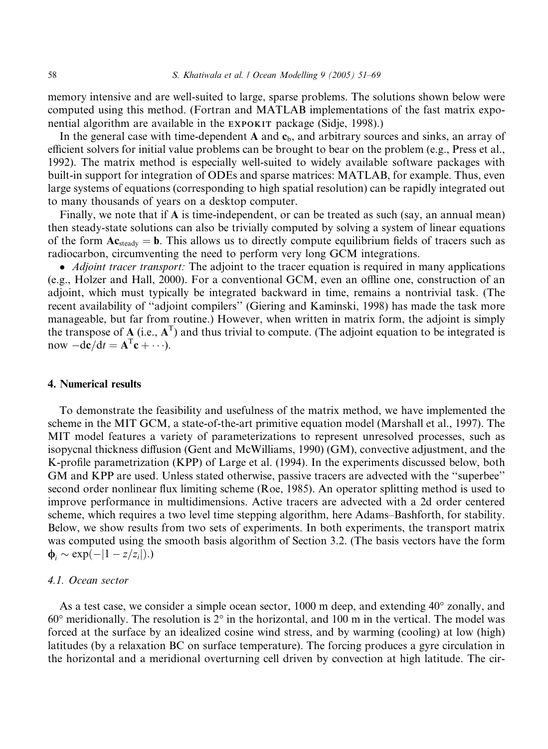memory intensive and are well-suited to large, sparse problems. The solutions shown below were computed using this method. (Fortran and MATLAB implementations of the fast matrix exponential algorithm are available in the EXPOKIT package (Sidje, 1998).)

In the general case with time-dependent A and  $c<sub>b</sub>$ , and arbitrary sources and sinks, an array of efficient solvers for initial value problems can be brought to bear on the problem (e.g., Press et al., 1992). The matrix method is especially well-suited to widely available software packages with built-in support for integration of ODEs and sparse matrices: MATLAB, for example. Thus, even large systems of equations (corresponding to high spatial resolution) can be rapidly integrated out to many thousands of years on a desktop computer.

Finally, we note that if  $\bf{A}$  is time-independent, or can be treated as such (say, an annual mean) then steady-state solutions can also be trivially computed by solving a system of linear equations of the form  $Ac_{steady} = b$ . This allows us to directly compute equilibrium fields of tracers such as radiocarbon, circumventing the need to perform very long GCM integrations.

 $\bullet$  *Adjoint tracer transport:* The adjoint to the tracer equation is required in many applications (e.g., Holzer and Hall, 2000). For a conventional GCM, even an offline one, construction of an adjoint, which must typically be integrated backward in time, remains a nontrivial task. (The recent availability of ''adjoint compilers'' (Giering and Kaminski, 1998) has made the task more manageable, but far from routine.) However, when written in matrix form, the adjoint is simply the transpose of  $A$  (i.e.,  $A<sup>T</sup>$ ) and thus trivial to compute. (The adjoint equation to be integrated is now  $-\dot{\text{dc}}/\text{d}t = \textbf{A}^{\text{T}}\textbf{c} + \cdots$ ).

## 4. Numerical results

To demonstrate the feasibility and usefulness of the matrix method, we have implemented the scheme in the MIT GCM, a state-of-the-art primitive equation model (Marshall et al., 1997). The MIT model features a variety of parameterizations to represent unresolved processes, such as isopycnal thickness diffusion (Gent and McWilliams, 1990) (GM), convective adjustment, and the K-profile parametrization (KPP) of Large et al. (1994). In the experiments discussed below, both GM and KPP are used. Unless stated otherwise, passive tracers are advected with the ''superbee'' second order nonlinear flux limiting scheme (Roe, 1985). An operator splitting method is used to improve performance in multidimensions. Active tracers are advected with a 2d order centered scheme, which requires a two level time stepping algorithm, here Adams–Bashforth, for stability. Below, we show results from two sets of experiments. In both experiments, the transport matrix was computed using the smooth basis algorithm of Section 3.2. (The basis vectors have the form  $\phi_i \sim \exp(-|1 - z/z_i|).$ 

## 4.1. Ocean sector

As a test case, we consider a simple ocean sector,  $1000$  m deep, and extending  $40^{\circ}$  zonally, and  $60^{\circ}$  meridionally. The resolution is  $2^{\circ}$  in the horizontal, and 100 m in the vertical. The model was forced at the surface by an idealized cosine wind stress, and by warming (cooling) at low (high) latitudes (by a relaxation BC on surface temperature). The forcing produces a gyre circulation in the horizontal and a meridional overturning cell driven by convection at high latitude. The cir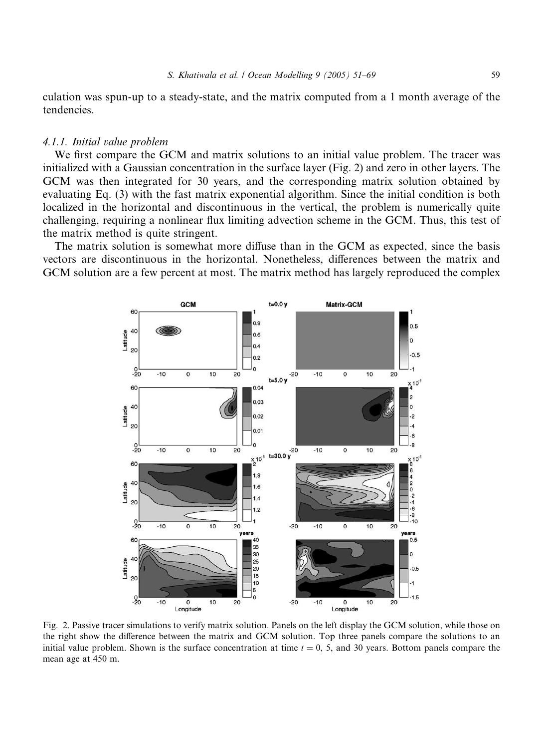culation was spun-up to a steady-state, and the matrix computed from a 1 month average of the tendencies.

#### 4.1.1. Initial value problem

We first compare the GCM and matrix solutions to an initial value problem. The tracer was initialized with a Gaussian concentration in the surface layer (Fig. 2) and zero in other layers. The GCM was then integrated for 30 years, and the corresponding matrix solution obtained by evaluating Eq. (3) with the fast matrix exponential algorithm. Since the initial condition is both localized in the horizontal and discontinuous in the vertical, the problem is numerically quite challenging, requiring a nonlinear flux limiting advection scheme in the GCM. Thus, this test of the matrix method is quite stringent.

The matrix solution is somewhat more diffuse than in the GCM as expected, since the basis vectors are discontinuous in the horizontal. Nonetheless, differences between the matrix and GCM solution are a few percent at most. The matrix method has largely reproduced the complex



Fig. 2. Passive tracer simulations to verify matrix solution. Panels on the left display the GCM solution, while those on the right show the difference between the matrix and GCM solution. Top three panels compare the solutions to an initial value problem. Shown is the surface concentration at time  $t = 0, 5$ , and 30 years. Bottom panels compare the mean age at 450 m.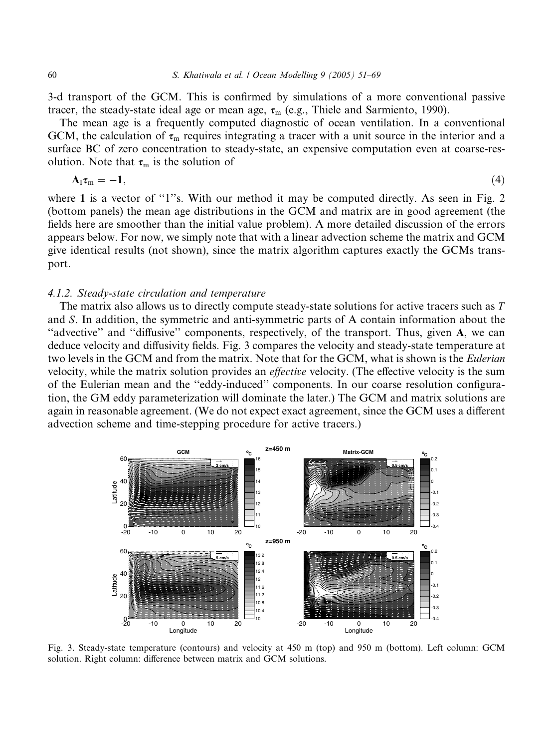3-d transport of the GCM. This is confirmed by simulations of a more conventional passive tracer, the steady-state ideal age or mean age,  $\tau_m$  (e.g., Thiele and Sarmiento, 1990).

The mean age is a frequently computed diagnostic of ocean ventilation. In a conventional GCM, the calculation of  $\tau_m$  requires integrating a tracer with a unit source in the interior and a surface BC of zero concentration to steady-state, an expensive computation even at coarse-resolution. Note that  $\tau_m$  is the solution of

$$
\mathbf{A}_{\mathrm{I}}\boldsymbol{\tau}_{\mathrm{m}}=-1,\tag{4}
$$

where 1 is a vector of "1"s. With our method it may be computed directly. As seen in Fig. 2 (bottom panels) the mean age distributions in the GCM and matrix are in good agreement (the fields here are smoother than the initial value problem). A more detailed discussion of the errors appears below. For now, we simply note that with a linear advection scheme the matrix and GCM give identical results (not shown), since the matrix algorithm captures exactly the GCMs transport.

## 4.1.2. Steady-state circulation and temperature

The matrix also allows us to directly compute steady-state solutions for active tracers such as T and S. In addition, the symmetric and anti-symmetric parts of A contain information about the ''advective'' and ''diffusive'' components, respectively, of the transport. Thus, given A, we can deduce velocity and diffusivity fields. Fig. 3 compares the velocity and steady-state temperature at two levels in the GCM and from the matrix. Note that for the GCM, what is shown is the *Eulerian* velocity, while the matrix solution provides an effective velocity. (The effective velocity is the sum of the Eulerian mean and the ''eddy-induced'' components. In our coarse resolution configuration, the GM eddy parameterization will dominate the later.) The GCM and matrix solutions are again in reasonable agreement. (We do not expect exact agreement, since the GCM uses a different advection scheme and time-stepping procedure for active tracers.)



Fig. 3. Steady-state temperature (contours) and velocity at 450 m (top) and 950 m (bottom). Left column: GCM solution. Right column: difference between matrix and GCM solutions.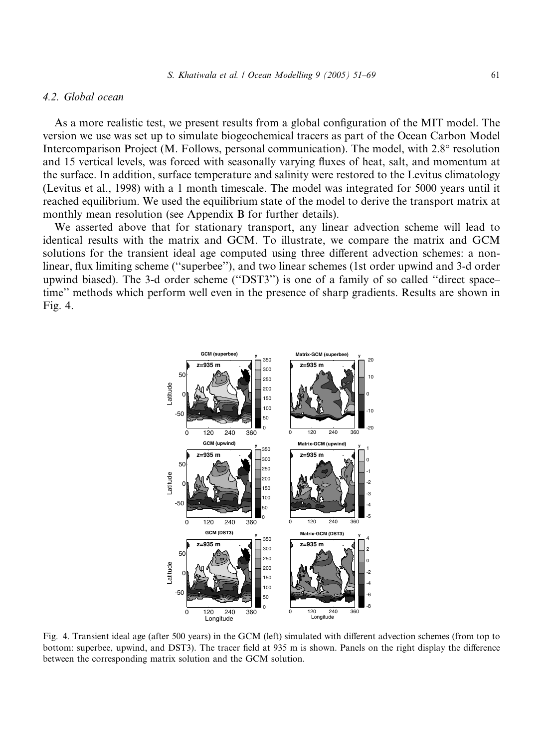## 4.2. Global ocean

As a more realistic test, we present results from a global configuration of the MIT model. The version we use was set up to simulate biogeochemical tracers as part of the Ocean Carbon Model Intercomparison Project (M. Follows, personal communication). The model, with 2.8° resolution and 15 vertical levels, was forced with seasonally varying fluxes of heat, salt, and momentum at the surface. In addition, surface temperature and salinity were restored to the Levitus climatology (Levitus et al., 1998) with a 1 month timescale. The model was integrated for 5000 years until it reached equilibrium. We used the equilibrium state of the model to derive the transport matrix at monthly mean resolution (see Appendix B for further details).

We asserted above that for stationary transport, any linear advection scheme will lead to identical results with the matrix and GCM. To illustrate, we compare the matrix and GCM solutions for the transient ideal age computed using three different advection schemes: a nonlinear, flux limiting scheme (''superbee''), and two linear schemes (1st order upwind and 3-d order upwind biased). The 3-d order scheme (''DST3'') is one of a family of so called ''direct space– time'' methods which perform well even in the presence of sharp gradients. Results are shown in Fig. 4.



Fig. 4. Transient ideal age (after 500 years) in the GCM (left) simulated with different advection schemes (from top to bottom: superbee, upwind, and DST3). The tracer field at 935 m is shown. Panels on the right display the difference between the corresponding matrix solution and the GCM solution.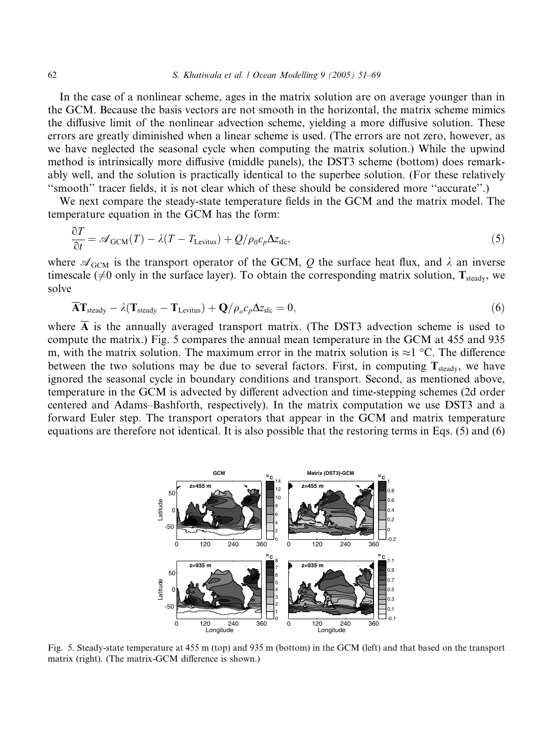In the case of a nonlinear scheme, ages in the matrix solution are on average younger than in the GCM. Because the basis vectors are not smooth in the horizontal, the matrix scheme mimics the diffusive limit of the nonlinear advection scheme, yielding a more diffusive solution. These errors are greatly diminished when a linear scheme is used. (The errors are not zero, however, as we have neglected the seasonal cycle when computing the matrix solution.) While the upwind method is intrinsically more diffusive (middle panels), the DST3 scheme (bottom) does remarkably well, and the solution is practically identical to the superbee solution. (For these relatively "smooth" tracer fields, it is not clear which of these should be considered more "accurate".)

We next compare the steady-state temperature fields in the GCM and the matrix model. The temperature equation in the GCM has the form:

$$
\frac{\partial T}{\partial t} = \mathcal{A}_{GCM}(T) - \lambda (T - T_{\text{Levitus}}) + Q/\rho_0 c_p \Delta z_{\text{sfc}},\tag{5}
$$

where  $\mathscr{A}_{GCM}$  is the transport operator of the GCM, Q the surface heat flux, and  $\lambda$  an inverse timescale ( $\neq 0$  only in the surface layer). To obtain the corresponding matrix solution,  $T_{\text{steady}}$ , we solve

$$
\overline{\mathbf{A}}\mathbf{T}_{\text{steady}} - \lambda(\mathbf{T}_{\text{steady}} - \mathbf{T}_{\text{Levitus}}) + \mathbf{Q}/\rho_o c_p \Delta z_{\text{sfc}} = 0,
$$
\n(6)

where  $\overline{A}$  is the annually averaged transport matrix. (The DST3 advection scheme is used to compute the matrix.) Fig. 5 compares the annual mean temperature in the GCM at 455 and 935 m, with the matrix solution. The maximum error in the matrix solution is  $\approx$  1 °C. The difference between the two solutions may be due to several factors. First, in computing  $T_{\text{steady}}$ , we have ignored the seasonal cycle in boundary conditions and transport. Second, as mentioned above, temperature in the GCM is advected by different advection and time-stepping schemes (2d order centered and Adams–Bashforth, respectively). In the matrix computation we use DST3 and a forward Euler step. The transport operators that appear in the GCM and matrix temperature equations are therefore not identical. It is also possible that the restoring terms in Eqs. (5) and (6)



Fig. 5. Steady-state temperature at 455 m (top) and 935 m (bottom) in the GCM (left) and that based on the transport matrix (right). (The matrix-GCM difference is shown.)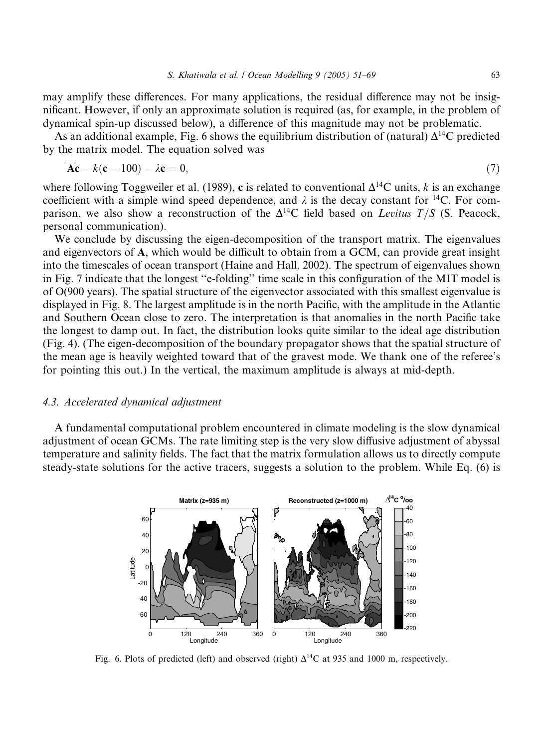may amplify these differences. For many applications, the residual difference may not be insignificant. However, if only an approximate solution is required (as, for example, in the problem of dynamical spin-up discussed below), a difference of this magnitude may not be problematic.

As an additional example, Fig. 6 shows the equilibrium distribution of (natural)  $\Delta^{14}C$  predicted by the matrix model. The equation solved was

$$
\overline{\mathbf{A}}\mathbf{c} - k(\mathbf{c} - 100) - \lambda \mathbf{c} = 0,\tag{7}
$$

where following Toggweiler et al. (1989), c is related to conventional  $\Delta^{14}$ C units, k is an exchange coefficient with a simple wind speed dependence, and  $\lambda$  is the decay constant for <sup>14</sup>C. For comparison, we also show a reconstruction of the  $\Delta^{14}$ C field based on *Levitus T/S* (S. Peacock, personal communication).

We conclude by discussing the eigen-decomposition of the transport matrix. The eigenvalues and eigenvectors of A, which would be difficult to obtain from a GCM, can provide great insight into the timescales of ocean transport (Haine and Hall, 2002). The spectrum of eigenvalues shown in Fig. 7 indicate that the longest ''e-folding'' time scale in this configuration of the MIT model is of O(900 years). The spatial structure of the eigenvector associated with this smallest eigenvalue is displayed in Fig. 8. The largest amplitude is in the north Pacific, with the amplitude in the Atlantic and Southern Ocean close to zero. The interpretation is that anomalies in the north Pacific take the longest to damp out. In fact, the distribution looks quite similar to the ideal age distribution (Fig. 4). (The eigen-decomposition of the boundary propagator shows that the spatial structure of the mean age is heavily weighted toward that of the gravest mode. We thank one of the referee's for pointing this out.) In the vertical, the maximum amplitude is always at mid-depth.

#### 4.3. Accelerated dynamical adjustment

A fundamental computational problem encountered in climate modeling is the slow dynamical adjustment of ocean GCMs. The rate limiting step is the very slow diffusive adjustment of abyssal temperature and salinity fields. The fact that the matrix formulation allows us to directly compute steady-state solutions for the active tracers, suggests a solution to the problem. While Eq. (6) is



Fig. 6. Plots of predicted (left) and observed (right)  $\Delta^{14}$ C at 935 and 1000 m, respectively.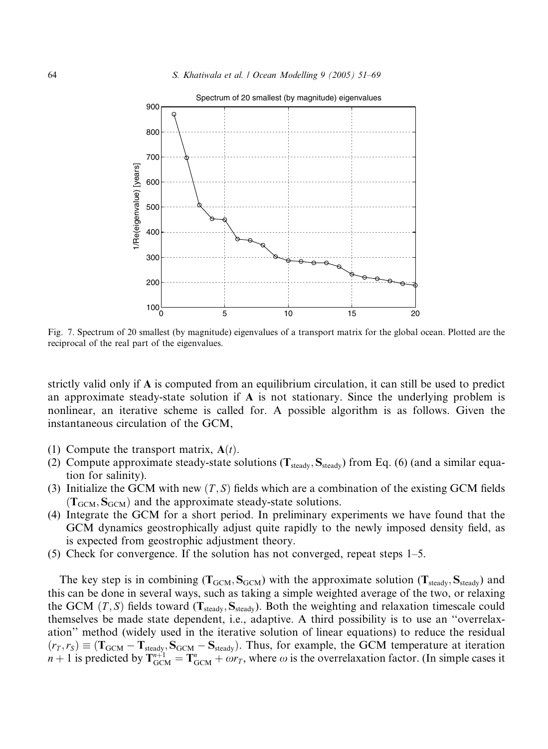

Fig. 7. Spectrum of 20 smallest (by magnitude) eigenvalues of a transport matrix for the global ocean. Plotted are the reciprocal of the real part of the eigenvalues.

strictly valid only if A is computed from an equilibrium circulation, it can still be used to predict an approximate steady-state solution if  $A$  is not stationary. Since the underlying problem is nonlinear, an iterative scheme is called for. A possible algorithm is as follows. Given the instantaneous circulation of the GCM,

- (1) Compute the transport matrix,  $A(t)$ .
- (2) Compute approximate steady-state solutions  $(T_{\text{steady}}, S_{\text{steady}})$  from Eq. (6) (and a similar equation for salinity).
- (3) Initialize the GCM with new  $(T, S)$  fields which are a combination of the existing GCM fields  $(T_{GCM}, S_{GCM})$  and the approximate steady-state solutions.
- (4) Integrate the GCM for a short period. In preliminary experiments we have found that the GCM dynamics geostrophically adjust quite rapidly to the newly imposed density field, as is expected from geostrophic adjustment theory.
- (5) Check for convergence. If the solution has not converged, repeat steps 1–5.

The key step is in combining  $(T_{GCM}, S_{GCM})$  with the approximate solution  $(T_{steady}, S_{steady})$  and this can be done in several ways, such as taking a simple weighted average of the two, or relaxing the GCM  $(T, S)$  fields toward  $(T_{\text{steady}}, S_{\text{steady}})$ . Both the weighting and relaxation timescale could themselves be made state dependent, i.e., adaptive. A third possibility is to use an ''overrelaxation'' method (widely used in the iterative solution of linear equations) to reduce the residual  $(r_T, r_S) \equiv (T_{GCM} - T_{steady}, S_{GCM} - S_{steady})$ . Thus, for example, the GCM temperature at iteration  $n+1$  is predicted by  $T_{GCM}^{n+1} = T_{GCM}^n + \omega r_T$ , where  $\omega$  is the overrelaxation factor. (In simple cases it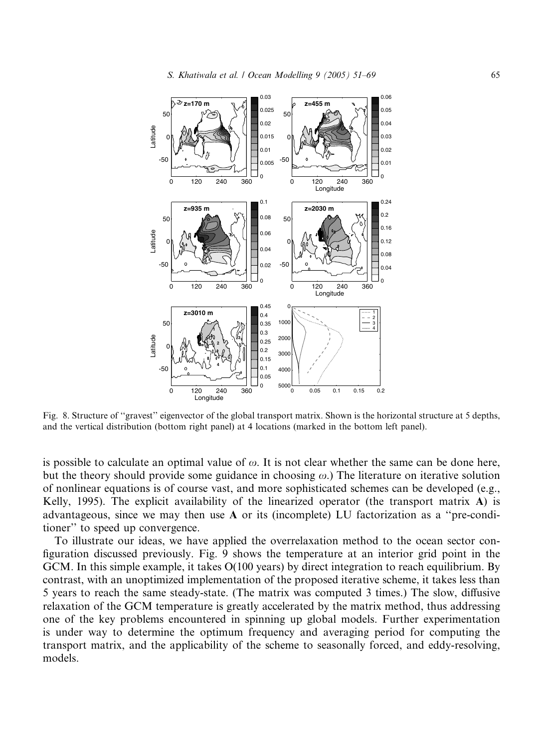

Fig. 8. Structure of ''gravest'' eigenvector of the global transport matrix. Shown is the horizontal structure at 5 depths, and the vertical distribution (bottom right panel) at 4 locations (marked in the bottom left panel).

is possible to calculate an optimal value of  $\omega$ . It is not clear whether the same can be done here, but the theory should provide some guidance in choosing  $\omega$ .) The literature on iterative solution of nonlinear equations is of course vast, and more sophisticated schemes can be developed (e.g., Kelly, 1995). The explicit availability of the linearized operator (the transport matrix  $\bf{A}$ ) is advantageous, since we may then use A or its (incomplete) LU factorization as a ''pre-conditioner'' to speed up convergence.

To illustrate our ideas, we have applied the overrelaxation method to the ocean sector configuration discussed previously. Fig. 9 shows the temperature at an interior grid point in the GCM. In this simple example, it takes O(100 years) by direct integration to reach equilibrium. By contrast, with an unoptimized implementation of the proposed iterative scheme, it takes less than 5 years to reach the same steady-state. (The matrix was computed 3 times.) The slow, diffusive relaxation of the GCM temperature is greatly accelerated by the matrix method, thus addressing one of the key problems encountered in spinning up global models. Further experimentation is under way to determine the optimum frequency and averaging period for computing the transport matrix, and the applicability of the scheme to seasonally forced, and eddy-resolving, models.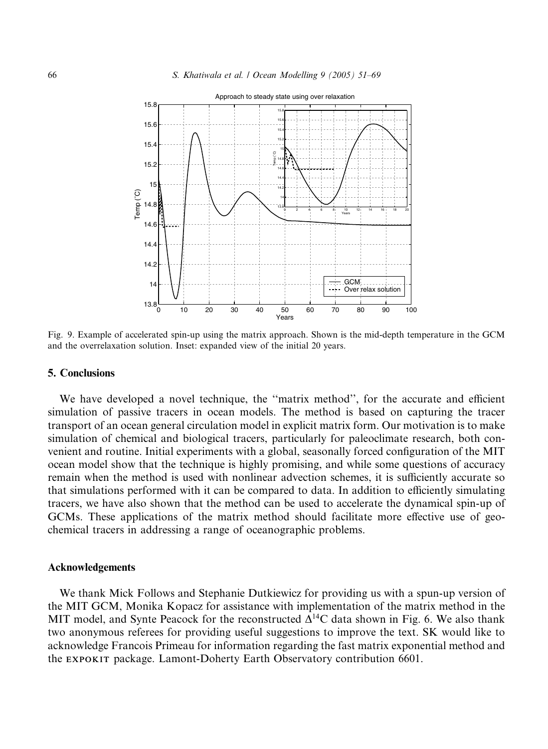

Fig. 9. Example of accelerated spin-up using the matrix approach. Shown is the mid-depth temperature in the GCM and the overrelaxation solution. Inset: expanded view of the initial 20 years.

## 5. Conclusions

We have developed a novel technique, the ''matrix method'', for the accurate and efficient simulation of passive tracers in ocean models. The method is based on capturing the tracer transport of an ocean general circulation model in explicit matrix form. Our motivation is to make simulation of chemical and biological tracers, particularly for paleoclimate research, both convenient and routine. Initial experiments with a global, seasonally forced configuration of the MIT ocean model show that the technique is highly promising, and while some questions of accuracy remain when the method is used with nonlinear advection schemes, it is sufficiently accurate so that simulations performed with it can be compared to data. In addition to efficiently simulating tracers, we have also shown that the method can be used to accelerate the dynamical spin-up of GCMs. These applications of the matrix method should facilitate more effective use of geochemical tracers in addressing a range of oceanographic problems.

#### Acknowledgements

We thank Mick Follows and Stephanie Dutkiewicz for providing us with a spun-up version of the MIT GCM, Monika Kopacz for assistance with implementation of the matrix method in the MIT model, and Synte Peacock for the reconstructed  $\Delta^{14}$ C data shown in Fig. 6. We also thank two anonymous referees for providing useful suggestions to improve the text. SK would like to acknowledge Francois Primeau for information regarding the fast matrix exponential method and the EXPOKIT package. Lamont-Doherty Earth Observatory contribution 6601.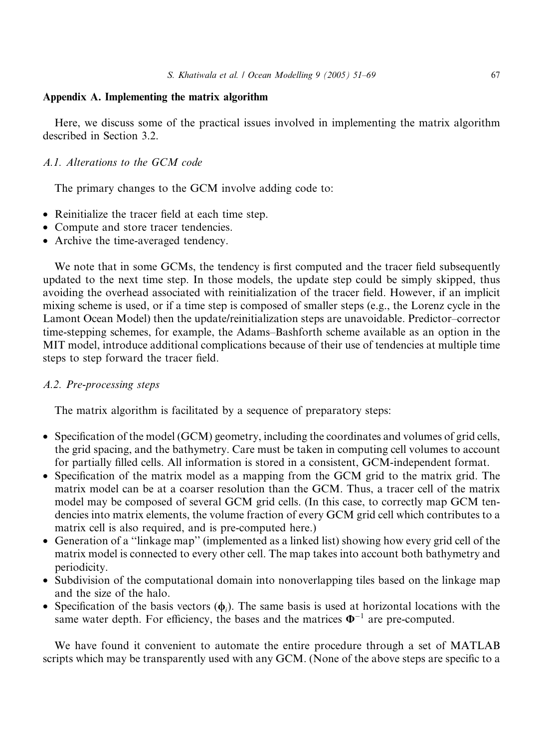## Appendix A. Implementing the matrix algorithm

Here, we discuss some of the practical issues involved in implementing the matrix algorithm described in Section 3.2.

## A.1. Alterations to the GCM code

The primary changes to the GCM involve adding code to:

- Reinitialize the tracer field at each time step.
- Compute and store tracer tendencies.
- Archive the time-averaged tendency.

We note that in some GCMs, the tendency is first computed and the tracer field subsequently updated to the next time step. In those models, the update step could be simply skipped, thus avoiding the overhead associated with reinitialization of the tracer field. However, if an implicit mixing scheme is used, or if a time step is composed of smaller steps (e.g., the Lorenz cycle in the Lamont Ocean Model) then the update/reinitialization steps are unavoidable. Predictor–corrector time-stepping schemes, for example, the Adams–Bashforth scheme available as an option in the MIT model, introduce additional complications because of their use of tendencies at multiple time steps to step forward the tracer field.

## A.2. Pre-processing steps

The matrix algorithm is facilitated by a sequence of preparatory steps:

- Specification of the model (GCM) geometry, including the coordinates and volumes of grid cells, the grid spacing, and the bathymetry. Care must be taken in computing cell volumes to account for partially filled cells. All information is stored in a consistent, GCM-independent format.
- Specification of the matrix model as a mapping from the GCM grid to the matrix grid. The matrix model can be at a coarser resolution than the GCM. Thus, a tracer cell of the matrix model may be composed of several GCM grid cells. (In this case, to correctly map GCM tendencies into matrix elements, the volume fraction of every GCM grid cell which contributes to a matrix cell is also required, and is pre-computed here.)
- Generation of a ''linkage map'' (implemented as a linked list) showing how every grid cell of the matrix model is connected to every other cell. The map takes into account both bathymetry and periodicity.
- Subdivision of the computational domain into nonoverlapping tiles based on the linkage map and the size of the halo.
- Specification of the basis vectors  $(\phi_i)$ . The same basis is used at horizontal locations with the same water depth. For efficiency, the bases and the matrices  $\Phi^{-1}$  are pre-computed.

We have found it convenient to automate the entire procedure through a set of MATLAB scripts which may be transparently used with any GCM. (None of the above steps are specific to a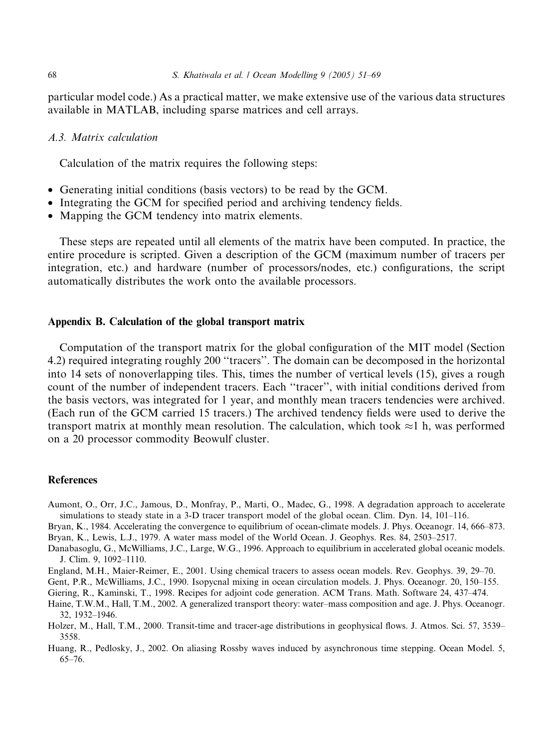particular model code.) As a practical matter, we make extensive use of the various data structures available in MATLAB, including sparse matrices and cell arrays.

## A.3. Matrix calculation

Calculation of the matrix requires the following steps:

- Generating initial conditions (basis vectors) to be read by the GCM.
- Integrating the GCM for specified period and archiving tendency fields.
- Mapping the GCM tendency into matrix elements.

These steps are repeated until all elements of the matrix have been computed. In practice, the entire procedure is scripted. Given a description of the GCM (maximum number of tracers per integration, etc.) and hardware (number of processors/nodes, etc.) configurations, the script automatically distributes the work onto the available processors.

## Appendix B. Calculation of the global transport matrix

Computation of the transport matrix for the global configuration of the MIT model (Section 4.2) required integrating roughly 200 ''tracers''. The domain can be decomposed in the horizontal into 14 sets of nonoverlapping tiles. This, times the number of vertical levels (15), gives a rough count of the number of independent tracers. Each ''tracer'', with initial conditions derived from the basis vectors, was integrated for 1 year, and monthly mean tracers tendencies were archived. (Each run of the GCM carried 15 tracers.) The archived tendency fields were used to derive the transport matrix at monthly mean resolution. The calculation, which took  $\approx$  1 h, was performed on a 20 processor commodity Beowulf cluster.

## **References**

Aumont, O., Orr, J.C., Jamous, D., Monfray, P., Marti, O., Madec, G., 1998. A degradation approach to accelerate simulations to steady state in a 3-D tracer transport model of the global ocean. Clim. Dyn. 14, 101–116.

Bryan, K., 1984. Accelerating the convergence to equilibrium of ocean-climate models. J. Phys. Oceanogr. 14, 666–873. Bryan, K., Lewis, L.J., 1979. A water mass model of the World Ocean. J. Geophys. Res. 84, 2503–2517.

Danabasoglu, G., McWilliams, J.C., Large, W.G., 1996. Approach to equilibrium in accelerated global oceanic models. J. Clim. 9, 1092–1110.

England, M.H., Maier-Reimer, E., 2001. Using chemical tracers to assess ocean models. Rev. Geophys. 39, 29–70.

Gent, P.R., McWilliams, J.C., 1990. Isopycnal mixing in ocean circulation models. J. Phys. Oceanogr. 20, 150–155.

Giering, R., Kaminski, T., 1998. Recipes for adjoint code generation. ACM Trans. Math. Software 24, 437–474.

- Haine, T.W.M., Hall, T.M., 2002. A generalized transport theory: water–mass composition and age. J. Phys. Oceanogr. 32, 1932–1946.
- Holzer, M., Hall, T.M., 2000. Transit-time and tracer-age distributions in geophysical flows. J. Atmos. Sci. 57, 3539– 3558.
- Huang, R., Pedlosky, J., 2002. On aliasing Rossby waves induced by asynchronous time stepping. Ocean Model. 5, 65–76.